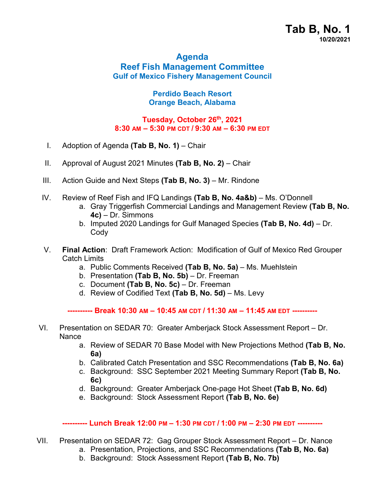# **Agenda Reef Fish Management Committee Gulf of Mexico Fishery Management Council**

## **Perdido Beach Resort Orange Beach, Alabama**

## **Tuesday, October 26th, 2021 8:30 AM – 5:30 PM CDT / 9:30 AM – 6:30 PM EDT**

- I. Adoption of Agenda **(Tab B, No. 1)** Chair
- II. Approval of August 2021 Minutes **(Tab B, No. 2)**  Chair
- III. Action Guide and Next Steps (Tab B, No. 3) Mr. Rindone
- IV. Review of Reef Fish and IFQ Landings **(Tab B, No. 4a&b)**  Ms. O'Donnell
	- a. Gray Triggerfish Commercial Landings and Management Review **(Tab B, No. 4c)** – Dr. Simmons
	- b. Imputed 2020 Landings for Gulf Managed Species **(Tab B, No. 4d)** Dr. **Codv**
- V. **Final Action**: Draft Framework Action: Modification of Gulf of Mexico Red Grouper Catch Limits
	- a. Public Comments Received **(Tab B, No. 5a)** Ms. Muehlstein
	- b. Presentation **(Tab B, No. 5b)** Dr. Freeman
	- c. Document **(Tab B, No. 5c)** Dr. Freeman
	- d. Review of Codified Text **(Tab B, No. 5d)** Ms. Levy

**---------- Break 10:30 AM – 10:45 AM CDT / 11:30 AM – 11:45 AM EDT ----------**

- VI. Presentation on SEDAR 70: Greater Amberjack Stock Assessment Report Dr. Nance
	- a. Review of SEDAR 70 Base Model with New Projections Method **(Tab B, No. 6a)**
	- b. Calibrated Catch Presentation and SSC Recommendations **(Tab B, No. 6a)**
	- c. Background: SSC September 2021 Meeting Summary Report **(Tab B, No. 6c)**
	- d. Background: Greater Amberjack One-page Hot Sheet **(Tab B, No. 6d)**
	- e. Background: Stock Assessment Report **(Tab B, No. 6e)**

#### **---------- Lunch Break 12:00 PM – 1:30 PM CDT / 1:00 PM – 2:30 PM EDT ----------**

- VII. Presentation on SEDAR 72: Gag Grouper Stock Assessment Report Dr. Nance
	- a. Presentation, Projections, and SSC Recommendations **(Tab B, No. 6a)**
	- b. Background: Stock Assessment Report **(Tab B, No. 7b)**